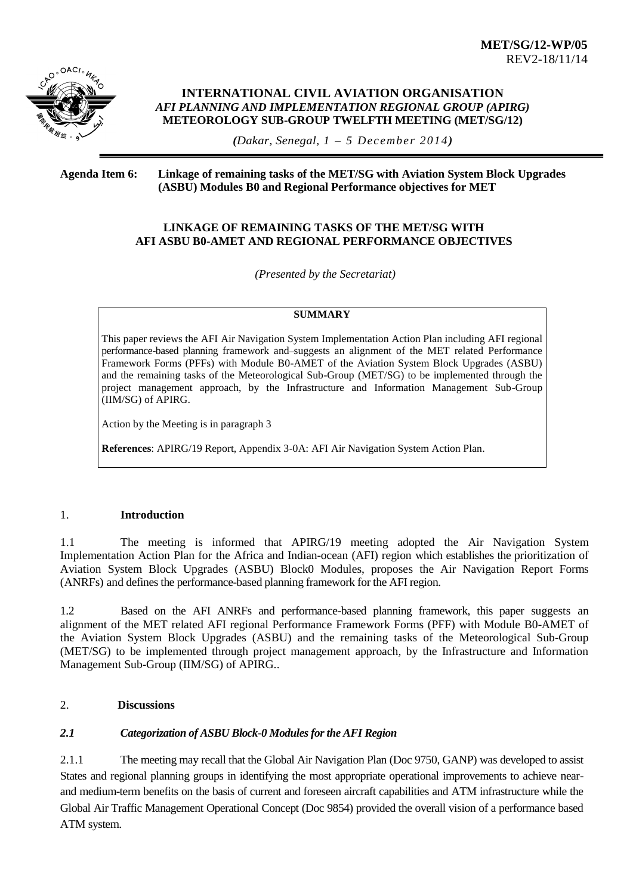

#### **INTERNATIONAL CIVIL AVIATION ORGANISATION**  *AFI PLANNING AND IMPLEMENTATION REGIONAL GROUP (APIRG)* **METEOROLOGY SUB-GROUP TWELFTH MEETING (MET/SG/12)**

*(Dakar, Senegal, 1 – 5 December 2014)*

#### **Agenda Item 6: Linkage of remaining tasks of the MET/SG with Aviation System Block Upgrades (ASBU) Modules B0 and Regional Performance objectives for MET**

# **LINKAGE OF REMAINING TASKS OF THE MET/SG WITH AFI ASBU B0-AMET AND REGIONAL PERFORMANCE OBJECTIVES**

*(Presented by the Secretariat)*

# **SUMMARY**

This paper reviews the AFI Air Navigation System Implementation Action Plan including AFI regional performance-based planning framework and suggests an alignment of the MET related Performance Framework Forms (PFFs) with Module B0-AMET of the Aviation System Block Upgrades (ASBU) and the remaining tasks of the Meteorological Sub-Group (MET/SG) to be implemented through the project management approach, by the Infrastructure and Information Management Sub-Group (IIM/SG) of APIRG.

Action by the Meeting is in paragraph 3

**References**: APIRG/19 Report, Appendix 3-0A: AFI Air Navigation System Action Plan.

# 1. **Introduction**

1.1 The meeting is informed that APIRG/19 meeting adopted the Air Navigation System Implementation Action Plan for the Africa and Indian-ocean (AFI) region which establishes the prioritization of Aviation System Block Upgrades (ASBU) Block0 Modules, proposes the Air Navigation Report Forms (ANRFs) and defines the performance-based planning framework for the AFI region.

1.2 Based on the AFI ANRFs and performance-based planning framework, this paper suggests an alignment of the MET related AFI regional Performance Framework Forms (PFF) with Module B0-AMET of the Aviation System Block Upgrades (ASBU) and the remaining tasks of the Meteorological Sub-Group (MET/SG) to be implemented through project management approach, by the Infrastructure and Information Management Sub-Group (IIM/SG) of APIRG..

# 2. **Discussions**

# *2.1 Categorization of ASBU Block-0 Modules for the AFI Region*

2.1.1 The meeting may recall that the Global Air Navigation Plan (Doc 9750, GANP) was developed to assist States and regional planning groups in identifying the most appropriate operational improvements to achieve nearand medium-term benefits on the basis of current and foreseen aircraft capabilities and ATM infrastructure while the Global Air Traffic Management Operational Concept (Doc 9854) provided the overall vision of a performance based ATM system.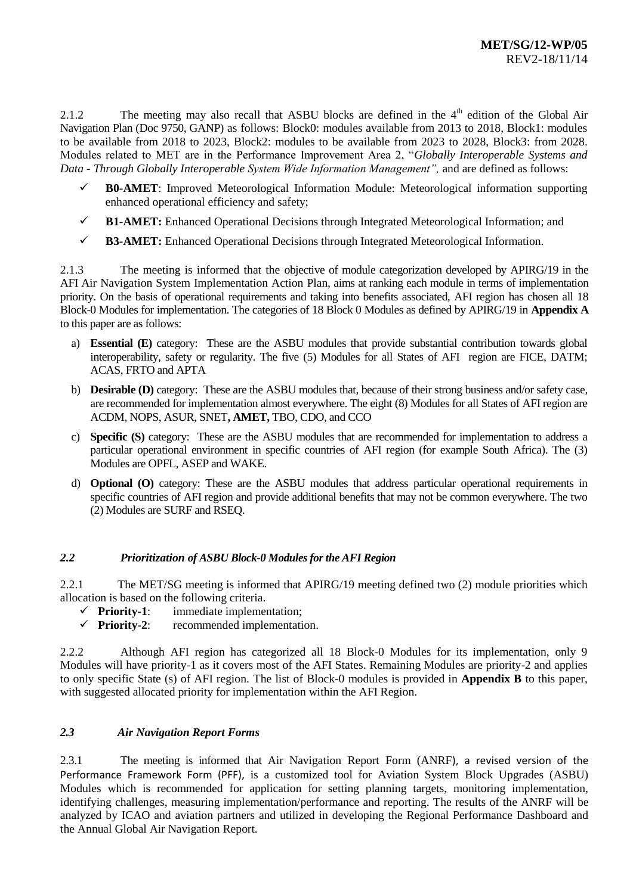2.1.2 The meeting may also recall that ASBU blocks are defined in the 4<sup>th</sup> edition of the Global Air Navigation Plan (Doc 9750, GANP) as follows: Block0: modules available from 2013 to 2018, Block1: modules to be available from 2018 to 2023, Block2: modules to be available from 2023 to 2028, Block3: from 2028. Modules related to MET are in the Performance Improvement Area 2, "*Globally Interoperable Systems and Data - Through Globally Interoperable System Wide Information Management",* and are defined as follows:

- **B0-AMET**: Improved Meteorological Information Module: Meteorological information supporting enhanced operational efficiency and safety;
- **B1-AMET:** Enhanced Operational Decisions through Integrated Meteorological Information; and
- **B3-AMET:** Enhanced Operational Decisions through Integrated Meteorological Information.

2.1.3 The meeting is informed that the objective of module categorization developed by APIRG/19 in the AFI Air Navigation System Implementation Action Plan, aims at ranking each module in terms of implementation priority. On the basis of operational requirements and taking into benefits associated, AFI region has chosen all 18 Block-0 Modules for implementation. The categories of 18 Block 0 Modules as defined by APIRG/19 in **Appendix A** to this paper are as follows:

- a) **Essential (E)** category: These are the ASBU modules that provide substantial contribution towards global interoperability, safety or regularity. The five (5) Modules for all States of AFI region are FICE, DATM; ACAS, FRTO and APTA
- b) **Desirable (D)** category: These are the ASBU modules that, because of their strong business and/or safety case, are recommended for implementation almost everywhere. The eight (8) Modules for all States of AFI region are ACDM, NOPS, ASUR, SNET**, AMET,** TBO, CDO, and CCO
- c) **Specific (S)** category: These are the ASBU modules that are recommended for implementation to address a particular operational environment in specific countries of AFI region (for example South Africa). The (3) Modules are OPFL, ASEP and WAKE.
- d) **Optional (O)** category: These are the ASBU modules that address particular operational requirements in specific countries of AFI region and provide additional benefits that may not be common everywhere. The two (2) Modules are SURF and RSEQ.

# *2.2 Prioritization of ASBU Block-0 Modules for the AFI Region*

2.2.1 The MET/SG meeting is informed that APIRG/19 meeting defined two (2) module priorities which allocation is based on the following criteria.

- **Priority-1**: immediate implementation;
- **Priority-2**: recommended implementation.

2.2.2 Although AFI region has categorized all 18 Block-0 Modules for its implementation, only 9 Modules will have priority-1 as it covers most of the AFI States. Remaining Modules are priority-2 and applies to only specific State (s) of AFI region. The list of Block-0 modules is provided in **Appendix B** to this paper, with suggested allocated priority for implementation within the AFI Region.

# *2.3 Air Navigation Report Forms*

2.3.1 The meeting is informed that Air Navigation Report Form (ANRF), a revised version of the Performance Framework Form (PFF), is a customized tool for Aviation System Block Upgrades (ASBU) Modules which is recommended for application for setting planning targets, monitoring implementation, identifying challenges, measuring implementation/performance and reporting. The results of the ANRF will be analyzed by ICAO and aviation partners and utilized in developing the Regional Performance Dashboard and the Annual Global Air Navigation Report.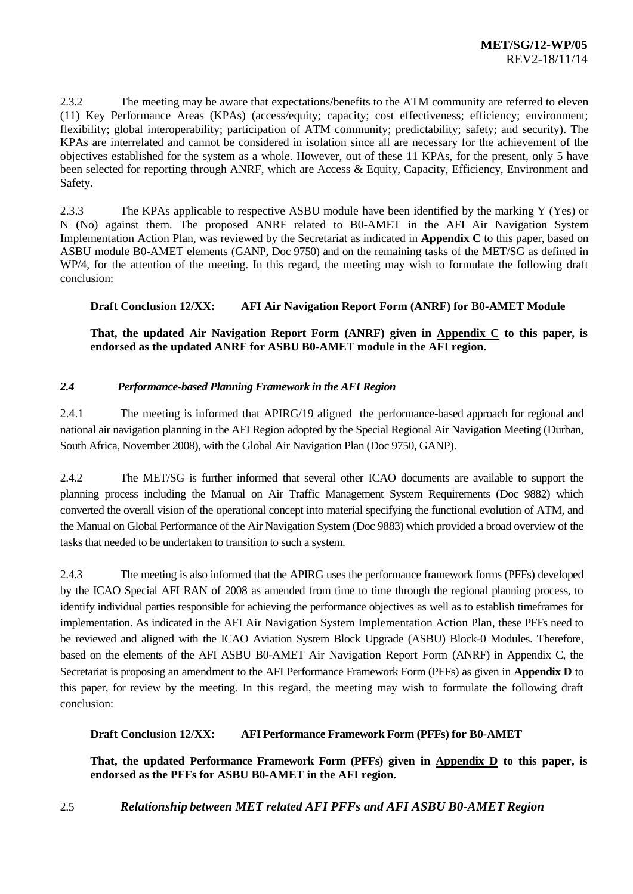2.3.2 The meeting may be aware that expectations/benefits to the ATM community are referred to eleven (11) Key Performance Areas (KPAs) (access/equity; capacity; cost effectiveness; efficiency; environment; flexibility; global interoperability; participation of ATM community; predictability; safety; and security). The KPAs are interrelated and cannot be considered in isolation since all are necessary for the achievement of the objectives established for the system as a whole. However, out of these 11 KPAs, for the present, only 5 have been selected for reporting through ANRF, which are Access & Equity, Capacity, Efficiency, Environment and Safety.

2.3.3 The KPAs applicable to respective ASBU module have been identified by the marking Y (Yes) or N (No) against them. The proposed ANRF related to B0-AMET in the AFI Air Navigation System Implementation Action Plan, was reviewed by the Secretariat as indicated in **Appendix C** to this paper, based on ASBU module B0-AMET elements (GANP, Doc 9750) and on the remaining tasks of the MET/SG as defined in WP/4, for the attention of the meeting. In this regard, the meeting may wish to formulate the following draft conclusion:

# **Draft Conclusion 12/XX: AFI Air Navigation Report Form (ANRF) for B0-AMET Module**

**That, the updated Air Navigation Report Form (ANRF) given in Appendix C to this paper, is endorsed as the updated ANRF for ASBU B0-AMET module in the AFI region.**

# *2.4 Performance-based Planning Framework in the AFI Region*

2.4.1 The meeting is informed that APIRG/19 aligned the performance-based approach for regional and national air navigation planning in the AFI Region adopted by the Special Regional Air Navigation Meeting (Durban, South Africa, November 2008), with the Global Air Navigation Plan (Doc 9750, GANP).

2.4.2 The MET/SG is further informed that several other ICAO documents are available to support the planning process including the Manual on Air Traffic Management System Requirements (Doc 9882) which converted the overall vision of the operational concept into material specifying the functional evolution of ATM, and the Manual on Global Performance of the Air Navigation System (Doc 9883) which provided a broad overview of the tasks that needed to be undertaken to transition to such a system.

2.4.3 The meeting is also informed that the APIRG uses the performance framework forms (PFFs) developed by the ICAO Special AFI RAN of 2008 as amended from time to time through the regional planning process, to identify individual parties responsible for achieving the performance objectives as well as to establish timeframes for implementation. As indicated in the AFI Air Navigation System Implementation Action Plan, these PFFs need to be reviewed and aligned with the ICAO Aviation System Block Upgrade (ASBU) Block-0 Modules. Therefore, based on the elements of the AFI ASBU B0-AMET Air Navigation Report Form (ANRF) in Appendix C, the Secretariat is proposing an amendment to the AFI Performance Framework Form (PFFs) as given in **Appendix D** to this paper, for review by the meeting. In this regard, the meeting may wish to formulate the following draft conclusion:

# **Draft Conclusion 12/XX: AFI Performance Framework Form (PFFs) for B0-AMET**

**That, the updated Performance Framework Form (PFFs) given in Appendix D to this paper, is endorsed as the PFFs for ASBU B0-AMET in the AFI region.**

2.5 *Relationship between MET related AFI PFFs and AFI ASBU B0-AMET Region*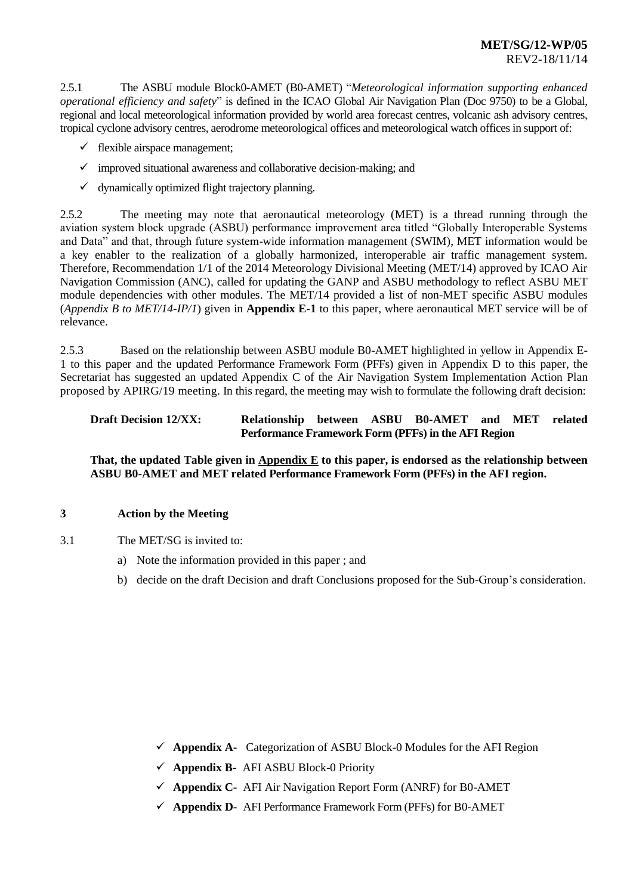# **MET/SG/12-WP/05** REV2-18/11/14

2.5.1 The ASBU module Block0-AMET (B0-AMET) "*Meteorological information supporting enhanced operational efficiency and safety*" is defined in the ICAO Global Air Navigation Plan (Doc 9750) to be a Global, regional and local meteorological information provided by world area forecast centres, volcanic ash advisory centres, tropical cyclone advisory centres, aerodrome meteorological offices and meteorological watch offices in support of:

- $\checkmark$  flexible airspace management;
- $\checkmark$  improved situational awareness and collaborative decision-making; and
- $\checkmark$  dynamically optimized flight trajectory planning.

2.5.2 The meeting may note that aeronautical meteorology (MET) is a thread running through the aviation system block upgrade (ASBU) performance improvement area titled "Globally Interoperable Systems and Data" and that, through future system-wide information management (SWIM), MET information would be a key enabler to the realization of a globally harmonized, interoperable air traffic management system. Therefore, Recommendation 1/1 of the 2014 Meteorology Divisional Meeting (MET/14) approved by ICAO Air Navigation Commission (ANC), called for updating the GANP and ASBU methodology to reflect ASBU MET module dependencies with other modules. The MET/14 provided a list of non-MET specific ASBU modules (*Appendix B to MET/14-IP/1*) given in **Appendix E-1** to this paper, where aeronautical MET service will be of relevance.

2.5.3 Based on the relationship between ASBU module B0-AMET highlighted in yellow in Appendix E-1 to this paper and the updated Performance Framework Form (PFFs) given in Appendix D to this paper, the Secretariat has suggested an updated Appendix C of the Air Navigation System Implementation Action Plan proposed by APIRG/19 meeting. In this regard, the meeting may wish to formulate the following draft decision:

#### **Draft Decision 12/XX: Relationship between ASBU B0-AMET and MET related Performance Framework Form (PFFs) in the AFI Region**

**That, the updated Table given in Appendix E to this paper, is endorsed as the relationship between ASBU B0-AMET and MET related Performance Framework Form (PFFs) in the AFI region.**

#### **3 Action by the Meeting**

- 3.1 The MET/SG is invited to:
	- a) Note the information provided in this paper ; and
	- b) decide on the draft Decision and draft Conclusions proposed for the Sub-Group's consideration.

- **Appendix A-** Categorization of ASBU Block-0 Modules for the AFI Region
- **Appendix B-** AFI ASBU Block-0 Priority
- **Appendix C-** AFI Air Navigation Report Form (ANRF) for B0-AMET
- **Appendix D-** AFI Performance Framework Form (PFFs) for B0-AMET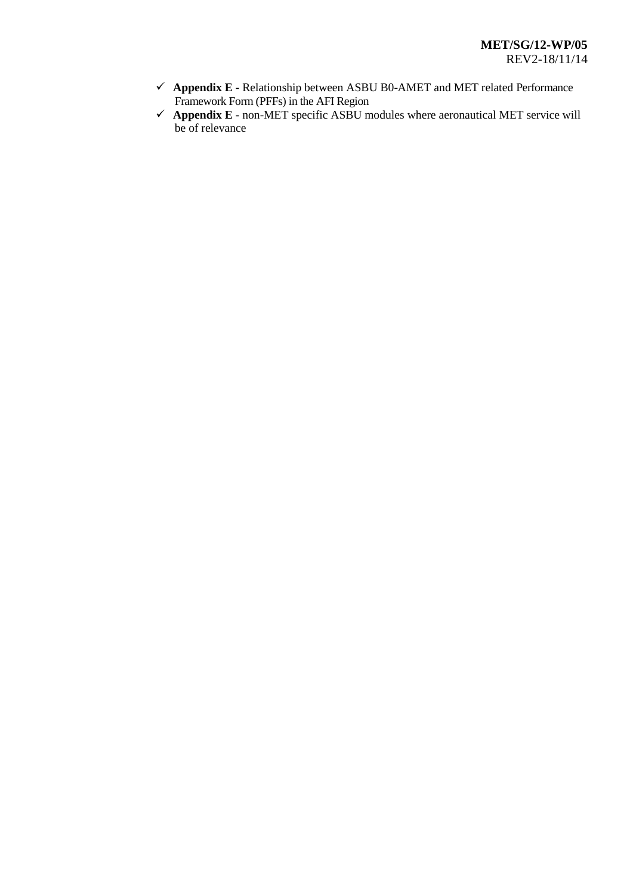- **Appendix E -** Relationship between ASBU B0-AMET and MET related Performance Framework Form (PFFs) in the AFI Region
- **Appendix E -** non-MET specific ASBU modules where aeronautical MET service will be of relevance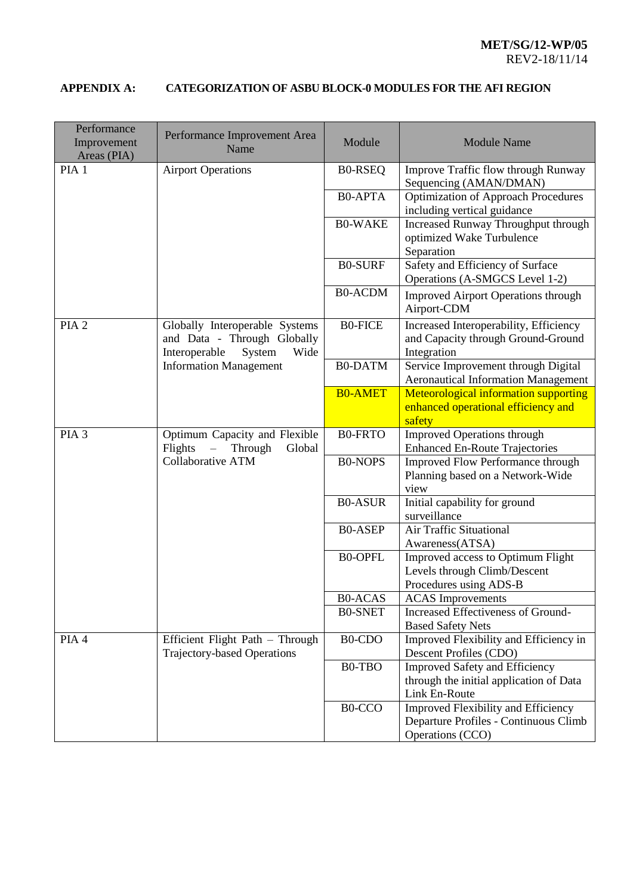# **APPENDIX A: CATEGORIZATION OF ASBU BLOCK-0 MODULES FOR THE AFI REGION**

| Performance<br>Improvement<br>Areas (PIA) | Performance Improvement Area<br>Name                                                                  | Module         | <b>Module Name</b>                                                                                |
|-------------------------------------------|-------------------------------------------------------------------------------------------------------|----------------|---------------------------------------------------------------------------------------------------|
| PIA <sub>1</sub>                          | <b>Airport Operations</b>                                                                             | <b>BO-RSEQ</b> | Improve Traffic flow through Runway<br>Sequencing (AMAN/DMAN)                                     |
|                                           |                                                                                                       | <b>B0-APTA</b> | <b>Optimization of Approach Procedures</b><br>including vertical guidance                         |
|                                           |                                                                                                       | <b>B0-WAKE</b> | Increased Runway Throughput through<br>optimized Wake Turbulence<br>Separation                    |
|                                           |                                                                                                       | <b>B0-SURF</b> | Safety and Efficiency of Surface<br>Operations (A-SMGCS Level 1-2)                                |
|                                           |                                                                                                       | <b>B0-ACDM</b> | <b>Improved Airport Operations through</b><br>Airport-CDM                                         |
| PIA <sub>2</sub>                          | Globally Interoperable Systems<br>and Data - Through Globally<br>Interoperable<br>System<br>Wide      | <b>BO-FICE</b> | Increased Interoperability, Efficiency<br>and Capacity through Ground-Ground<br>Integration       |
|                                           | <b>Information Management</b>                                                                         | <b>B0-DATM</b> | Service Improvement through Digital<br><b>Aeronautical Information Management</b>                 |
|                                           |                                                                                                       | <b>B0-AMET</b> | <b>Meteorological information supporting</b><br>enhanced operational efficiency and<br>safety     |
| PIA <sub>3</sub>                          | Optimum Capacity and Flexible<br>Flights<br>$\equiv$<br>Through<br>Global<br><b>Collaborative ATM</b> | <b>B0-FRTO</b> | <b>Improved Operations through</b><br><b>Enhanced En-Route Trajectories</b>                       |
|                                           |                                                                                                       | <b>B0-NOPS</b> | <b>Improved Flow Performance through</b><br>Planning based on a Network-Wide<br>view              |
|                                           |                                                                                                       | <b>B0-ASUR</b> | Initial capability for ground<br>surveillance                                                     |
|                                           |                                                                                                       | <b>BO-ASEP</b> | Air Traffic Situational<br>Awareness(ATSA)                                                        |
|                                           |                                                                                                       | <b>B0-OPFL</b> | Improved access to Optimum Flight<br>Levels through Climb/Descent<br>Procedures using ADS-B       |
|                                           |                                                                                                       | <b>B0-ACAS</b> | <b>ACAS</b> Improvements                                                                          |
|                                           |                                                                                                       | <b>B0-SNET</b> | Increased Effectiveness of Ground-<br><b>Based Safety Nets</b>                                    |
| PIA 4                                     | Efficient Flight Path - Through<br><b>Trajectory-based Operations</b>                                 | B0-CDO         | Improved Flexibility and Efficiency in<br>Descent Profiles (CDO)                                  |
|                                           |                                                                                                       | B0-TBO         | <b>Improved Safety and Efficiency</b><br>through the initial application of Data<br>Link En-Route |
|                                           |                                                                                                       | B0-CCO         | Improved Flexibility and Efficiency<br>Departure Profiles - Continuous Climb<br>Operations (CCO)  |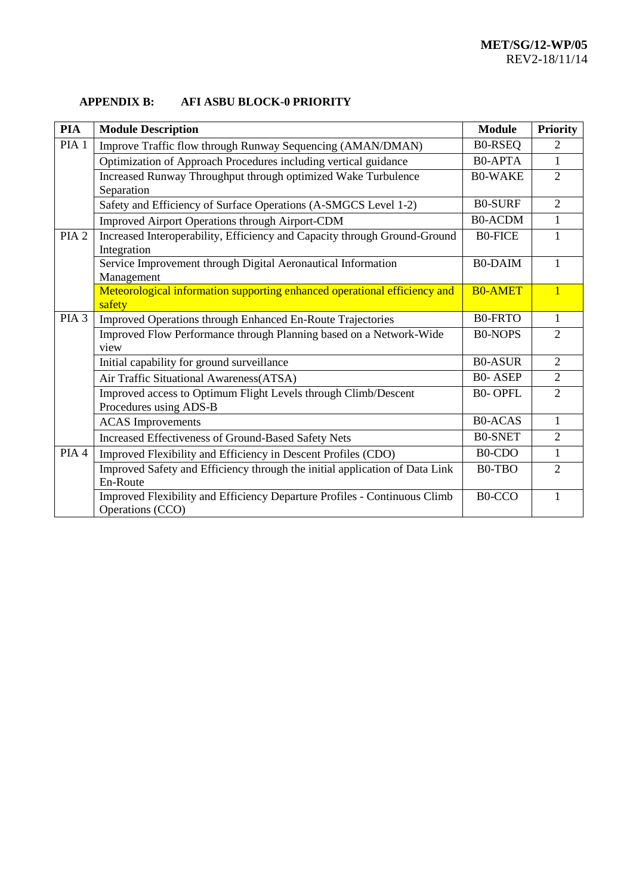# **APPENDIX B: AFI ASBU BLOCK-0 PRIORITY**

| <b>PIA</b>       | <b>Module Description</b>                                                   | <b>Module</b>                    | <b>Priority</b> |
|------------------|-----------------------------------------------------------------------------|----------------------------------|-----------------|
| PIA <sub>1</sub> | Improve Traffic flow through Runway Sequencing (AMAN/DMAN)                  | <b>B0-RSEQ</b>                   | $\overline{2}$  |
|                  | Optimization of Approach Procedures including vertical guidance             | <b>B0-APTA</b>                   | 1               |
|                  | Increased Runway Throughput through optimized Wake Turbulence               | <b>B0-WAKE</b>                   | $\overline{2}$  |
|                  | Separation                                                                  |                                  |                 |
|                  | Safety and Efficiency of Surface Operations (A-SMGCS Level 1-2)             | <b>B0-SURF</b>                   | $\overline{2}$  |
|                  | Improved Airport Operations through Airport-CDM                             | <b>B0-ACDM</b>                   | $\mathbf{1}$    |
| PIA <sub>2</sub> | Increased Interoperability, Efficiency and Capacity through Ground-Ground   | <b>BO-FICE</b>                   | 1               |
|                  | Integration                                                                 |                                  |                 |
|                  | Service Improvement through Digital Aeronautical Information                | <b>B0-DAIM</b>                   | 1               |
|                  | Management                                                                  |                                  |                 |
|                  | Meteorological information supporting enhanced operational efficiency and   | <b>B0-AMET</b>                   | $\overline{1}$  |
|                  | safety                                                                      |                                  |                 |
| PIA <sub>3</sub> | Improved Operations through Enhanced En-Route Trajectories                  | <b>B0-FRTO</b>                   | $\mathbf{1}$    |
|                  | Improved Flow Performance through Planning based on a Network-Wide          | <b>B0-NOPS</b>                   | $\overline{2}$  |
|                  | view                                                                        |                                  |                 |
|                  | Initial capability for ground surveillance                                  | <b>B0-ASUR</b>                   | $\overline{2}$  |
|                  | Air Traffic Situational Awareness(ATSA)                                     | <b>B0-ASEP</b>                   | $\overline{2}$  |
|                  | Improved access to Optimum Flight Levels through Climb/Descent              | <b>B0-OPFL</b>                   | $\overline{2}$  |
|                  | Procedures using ADS-B                                                      |                                  |                 |
|                  | <b>ACAS</b> Improvements                                                    | <b>B0-ACAS</b>                   | 1               |
|                  | Increased Effectiveness of Ground-Based Safety Nets                         | <b>B0-SNET</b>                   | $\overline{2}$  |
| PIA 4            | Improved Flexibility and Efficiency in Descent Profiles (CDO)               | B <sub>0</sub> -C <sub>D</sub> O | $\mathbf 1$     |
|                  | Improved Safety and Efficiency through the initial application of Data Link | B0-TBO                           | $\overline{2}$  |
|                  | En-Route                                                                    |                                  |                 |
|                  | Improved Flexibility and Efficiency Departure Profiles - Continuous Climb   | B0-CCO                           | 1               |
|                  | Operations (CCO)                                                            |                                  |                 |